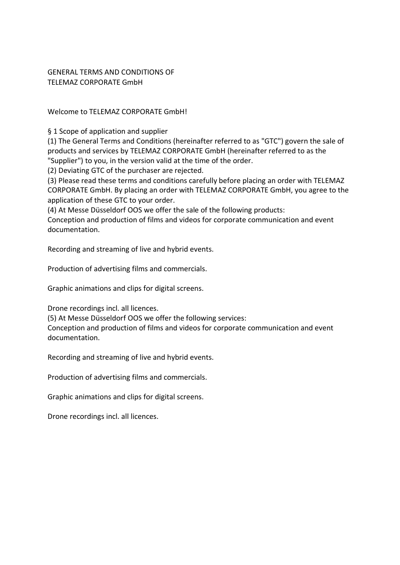GENERAL TERMS AND CONDITIONS OF TELEMAZ CORPORATE GmbH

Welcome to TELEMAZ CORPORATE GmbH!

§ 1 Scope of application and supplier

(1) The General Terms and Conditions (hereinafter referred to as "GTC") govern the sale of products and services by TELEMAZ CORPORATE GmbH (hereinafter referred to as the "Supplier") to you, in the version valid at the time of the order.

(2) Deviating GTC of the purchaser are rejected.

(3) Please read these terms and conditions carefully before placing an order with TELEMAZ CORPORATE GmbH. By placing an order with TELEMAZ CORPORATE GmbH, you agree to the application of these GTC to your order.

(4) At Messe Düsseldorf OOS we offer the sale of the following products:

Conception and production of films and videos for corporate communication and event documentation.

Recording and streaming of live and hybrid events.

Production of advertising films and commercials.

Graphic animations and clips for digital screens.

Drone recordings incl. all licences.

(5) At Messe Düsseldorf OOS we offer the following services:

Conception and production of films and videos for corporate communication and event documentation.

Recording and streaming of live and hybrid events.

Production of advertising films and commercials.

Graphic animations and clips for digital screens.

Drone recordings incl. all licences.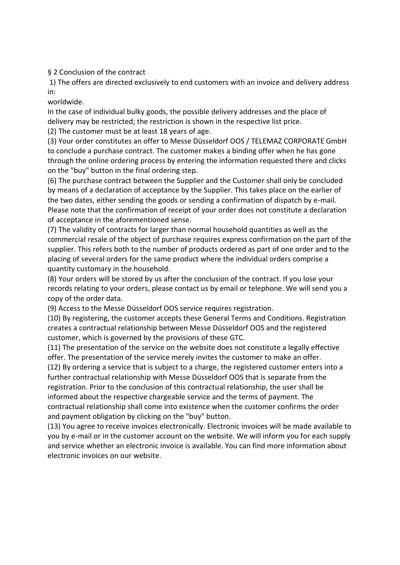§ 2 Conclusion of the contract

1) The offers are directed exclusively to end customers with an invoice and delivery address in:

worldwide.

In the case of individual bulky goods, the possible delivery addresses and the place of delivery may be restricted; the restriction is shown in the respective list price.

(2) The customer must be at least 18 years of age.

(3) Your order constitutes an offer to Messe Düsseldorf OOS / TELEMAZ CORPORATE GmbH to conclude a purchase contract. The customer makes a binding offer when he has gone through the online ordering process by entering the information requested there and clicks on the "buy" button in the final ordering step.

(6) The purchase contract between the Supplier and the Customer shall only be concluded by means of a declaration of acceptance by the Supplier. This takes place on the earlier of the two dates, either sending the goods or sending a confirmation of dispatch by e-mail. Please note that the confirmation of receipt of your order does not constitute a declaration of acceptance in the aforementioned sense.

(7) The validity of contracts for larger than normal household quantities as well as the commercial resale of the object of purchase requires express confirmation on the part of the supplier. This refers both to the number of products ordered as part of one order and to the placing of several orders for the same product where the individual orders comprise a quantity customary in the household.

(8) Your orders will be stored by us after the conclusion of the contract. If you lose your records relating to your orders, please contact us by email or telephone. We will send you a copy of the order data.

(9) Access to the Messe Düsseldorf OOS service requires registration.

(10) By registering, the customer accepts these General Terms and Conditions. Registration creates a contractual relationship between Messe Düsseldorf OOS and the registered customer, which is governed by the provisions of these GTC.

(11) The presentation of the service on the website does not constitute a legally effective offer. The presentation of the service merely invites the customer to make an offer.

(12) By ordering a service that is subject to a charge, the registered customer enters into a further contractual relationship with Messe Düsseldorf OOS that is separate from the registration. Prior to the conclusion of this contractual relationship, the user shall be informed about the respective chargeable service and the terms of payment. The contractual relationship shall come into existence when the customer confirms the order and payment obligation by clicking on the "buy" button.

(13) You agree to receive invoices electronically. Electronic invoices will be made available to you by e-mail or in the customer account on the website. We will inform you for each supply and service whether an electronic invoice is available. You can find more information about electronic invoices on our website.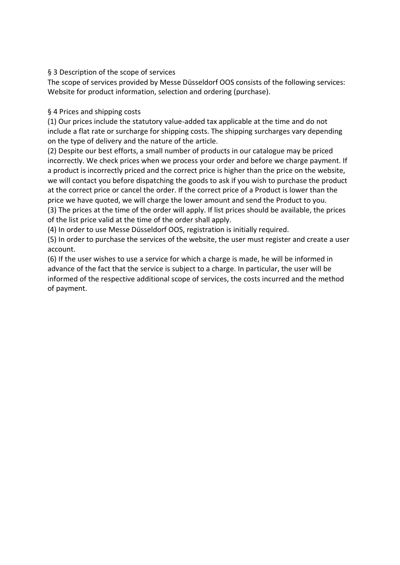#### § 3 Description of the scope of services

The scope of services provided by Messe Düsseldorf OOS consists of the following services: Website for product information, selection and ordering (purchase).

#### § 4 Prices and shipping costs

(1) Our prices include the statutory value-added tax applicable at the time and do not include a flat rate or surcharge for shipping costs. The shipping surcharges vary depending on the type of delivery and the nature of the article.

(2) Despite our best efforts, a small number of products in our catalogue may be priced incorrectly. We check prices when we process your order and before we charge payment. If a product is incorrectly priced and the correct price is higher than the price on the website, we will contact you before dispatching the goods to ask if you wish to purchase the product at the correct price or cancel the order. If the correct price of a Product is lower than the price we have quoted, we will charge the lower amount and send the Product to you. (3) The prices at the time of the order will apply. If list prices should be available, the prices of the list price valid at the time of the order shall apply.

(4) In order to use Messe Düsseldorf OOS, registration is initially required.

(5) In order to purchase the services of the website, the user must register and create a user account.

(6) If the user wishes to use a service for which a charge is made, he will be informed in advance of the fact that the service is subject to a charge. In particular, the user will be informed of the respective additional scope of services, the costs incurred and the method of payment.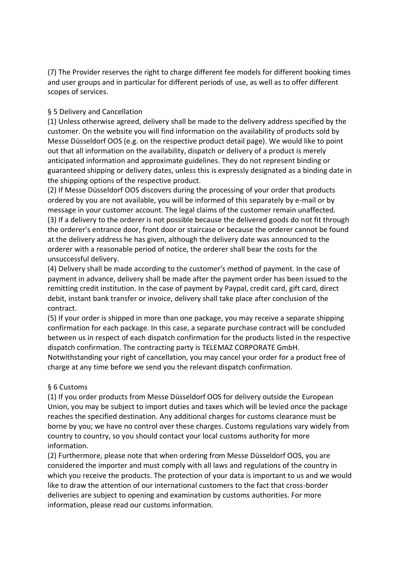(7) The Provider reserves the right to charge different fee models for different booking times and user groups and in particular for different periods of use, as well as to offer different scopes of services.

#### § 5 Delivery and Cancellation

(1) Unless otherwise agreed, delivery shall be made to the delivery address specified by the customer. On the website you will find information on the availability of products sold by Messe Düsseldorf OOS (e.g. on the respective product detail page). We would like to point out that all information on the availability, dispatch or delivery of a product is merely anticipated information and approximate guidelines. They do not represent binding or guaranteed shipping or delivery dates, unless this is expressly designated as a binding date in the shipping options of the respective product.

(2) If Messe Düsseldorf OOS discovers during the processing of your order that products ordered by you are not available, you will be informed of this separately by e-mail or by message in your customer account. The legal claims of the customer remain unaffected. (3) If a delivery to the orderer is not possible because the delivered goods do not fit through the orderer's entrance door, front door or staircase or because the orderer cannot be found at the delivery address he has given, although the delivery date was announced to the orderer with a reasonable period of notice, the orderer shall bear the costs for the unsuccessful delivery.

(4) Delivery shall be made according to the customer's method of payment. In the case of payment in advance, delivery shall be made after the payment order has been issued to the remitting credit institution. In the case of payment by Paypal, credit card, gift card, direct debit, instant bank transfer or invoice, delivery shall take place after conclusion of the contract.

(5) If your order is shipped in more than one package, you may receive a separate shipping confirmation for each package. In this case, a separate purchase contract will be concluded between us in respect of each dispatch confirmation for the products listed in the respective dispatch confirmation. The contracting party is TELEMAZ CORPORATE GmbH. Notwithstanding your right of cancellation, you may cancel your order for a product free of charge at any time before we send you the relevant dispatch confirmation.

## § 6 Customs

(1) If you order products from Messe Düsseldorf OOS for delivery outside the European Union, you may be subject to import duties and taxes which will be levied once the package reaches the specified destination. Any additional charges for customs clearance must be borne by you; we have no control over these charges. Customs regulations vary widely from country to country, so you should contact your local customs authority for more information.

(2) Furthermore, please note that when ordering from Messe Düsseldorf OOS, you are considered the importer and must comply with all laws and regulations of the country in which you receive the products. The protection of your data is important to us and we would like to draw the attention of our international customers to the fact that cross-border deliveries are subject to opening and examination by customs authorities. For more information, please read our customs information.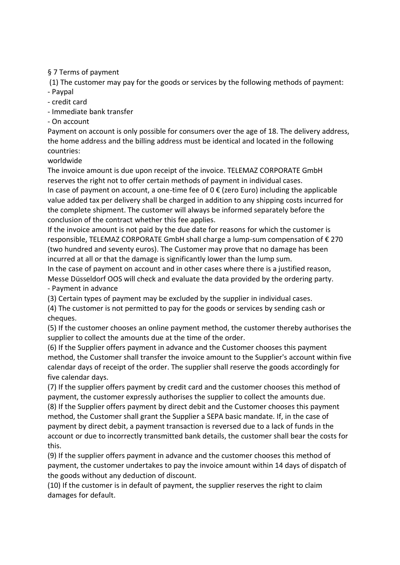# § 7 Terms of payment

(1) The customer may pay for the goods or services by the following methods of payment:

- Paypal
- credit card
- Immediate bank transfer
- On account

Payment on account is only possible for consumers over the age of 18. The delivery address, the home address and the billing address must be identical and located in the following countries:

worldwide

The invoice amount is due upon receipt of the invoice. TELEMAZ CORPORATE GmbH reserves the right not to offer certain methods of payment in individual cases. In case of payment on account, a one-time fee of  $0 \in ($ zero Euro) including the applicable value added tax per delivery shall be charged in addition to any shipping costs incurred for the complete shipment. The customer will always be informed separately before the conclusion of the contract whether this fee applies.

If the invoice amount is not paid by the due date for reasons for which the customer is responsible, TELEMAZ CORPORATE GmbH shall charge a lump-sum compensation of € 270 (two hundred and seventy euros). The Customer may prove that no damage has been incurred at all or that the damage is significantly lower than the lump sum.

In the case of payment on account and in other cases where there is a justified reason, Messe Düsseldorf OOS will check and evaluate the data provided by the ordering party. - Payment in advance

(3) Certain types of payment may be excluded by the supplier in individual cases.

(4) The customer is not permitted to pay for the goods or services by sending cash or cheques.

(5) If the customer chooses an online payment method, the customer thereby authorises the supplier to collect the amounts due at the time of the order.

(6) If the Supplier offers payment in advance and the Customer chooses this payment method, the Customer shall transfer the invoice amount to the Supplier's account within five calendar days of receipt of the order. The supplier shall reserve the goods accordingly for five calendar days.

(7) If the supplier offers payment by credit card and the customer chooses this method of payment, the customer expressly authorises the supplier to collect the amounts due. (8) If the Supplier offers payment by direct debit and the Customer chooses this payment method, the Customer shall grant the Supplier a SEPA basic mandate. If, in the case of payment by direct debit, a payment transaction is reversed due to a lack of funds in the account or due to incorrectly transmitted bank details, the customer shall bear the costs for this.

(9) If the supplier offers payment in advance and the customer chooses this method of payment, the customer undertakes to pay the invoice amount within 14 days of dispatch of the goods without any deduction of discount.

(10) If the customer is in default of payment, the supplier reserves the right to claim damages for default.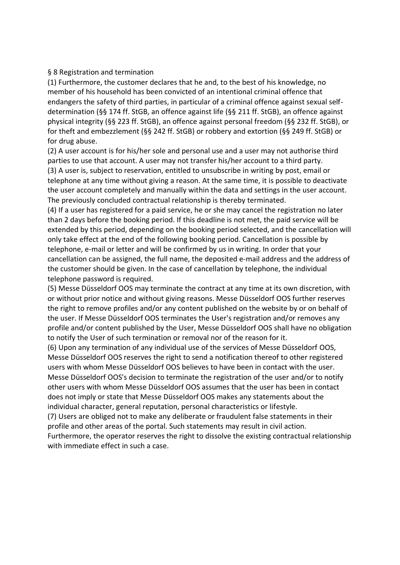#### § 8 Registration and termination

(1) Furthermore, the customer declares that he and, to the best of his knowledge, no member of his household has been convicted of an intentional criminal offence that endangers the safety of third parties, in particular of a criminal offence against sexual selfdetermination (§§ 174 ff. StGB, an offence against life (§§ 211 ff. StGB), an offence against physical integrity (§§ 223 ff. StGB), an offence against personal freedom (§§ 232 ff. StGB), or for theft and embezzlement (§§ 242 ff. StGB) or robbery and extortion (§§ 249 ff. StGB) or for drug abuse.

(2) A user account is for his/her sole and personal use and a user may not authorise third parties to use that account. A user may not transfer his/her account to a third party. (3) A user is, subject to reservation, entitled to unsubscribe in writing by post, email or telephone at any time without giving a reason. At the same time, it is possible to deactivate the user account completely and manually within the data and settings in the user account. The previously concluded contractual relationship is thereby terminated.

(4) If a user has registered for a paid service, he or she may cancel the registration no later than 2 days before the booking period. If this deadline is not met, the paid service will be extended by this period, depending on the booking period selected, and the cancellation will only take effect at the end of the following booking period. Cancellation is possible by telephone, e-mail or letter and will be confirmed by us in writing. In order that your cancellation can be assigned, the full name, the deposited e-mail address and the address of the customer should be given. In the case of cancellation by telephone, the individual telephone password is required.

(5) Messe Düsseldorf OOS may terminate the contract at any time at its own discretion, with or without prior notice and without giving reasons. Messe Düsseldorf OOS further reserves the right to remove profiles and/or any content published on the website by or on behalf of the user. If Messe Düsseldorf OOS terminates the User's registration and/or removes any profile and/or content published by the User, Messe Düsseldorf OOS shall have no obligation to notify the User of such termination or removal nor of the reason for it.

(6) Upon any termination of any individual use of the services of Messe Düsseldorf OOS, Messe Düsseldorf OOS reserves the right to send a notification thereof to other registered users with whom Messe Düsseldorf OOS believes to have been in contact with the user. Messe Düsseldorf OOS's decision to terminate the registration of the user and/or to notify other users with whom Messe Düsseldorf OOS assumes that the user has been in contact does not imply or state that Messe Düsseldorf OOS makes any statements about the individual character, general reputation, personal characteristics or lifestyle.

(7) Users are obliged not to make any deliberate or fraudulent false statements in their profile and other areas of the portal. Such statements may result in civil action.

Furthermore, the operator reserves the right to dissolve the existing contractual relationship with immediate effect in such a case.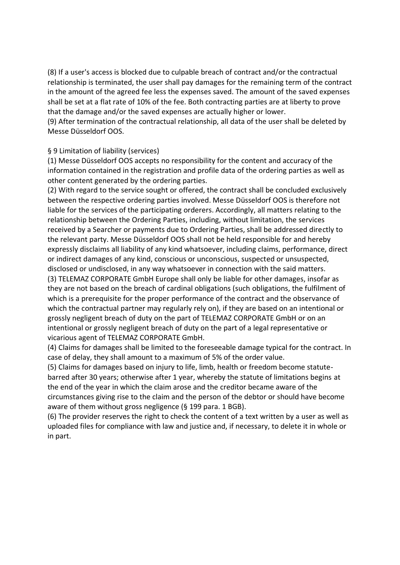(8) If a user's access is blocked due to culpable breach of contract and/or the contractual relationship is terminated, the user shall pay damages for the remaining term of the contract in the amount of the agreed fee less the expenses saved. The amount of the saved expenses shall be set at a flat rate of 10% of the fee. Both contracting parties are at liberty to prove that the damage and/or the saved expenses are actually higher or lower.

(9) After termination of the contractual relationship, all data of the user shall be deleted by Messe Düsseldorf OOS.

## § 9 Limitation of liability (services)

(1) Messe Düsseldorf OOS accepts no responsibility for the content and accuracy of the information contained in the registration and profile data of the ordering parties as well as other content generated by the ordering parties.

(2) With regard to the service sought or offered, the contract shall be concluded exclusively between the respective ordering parties involved. Messe Düsseldorf OOS is therefore not liable for the services of the participating orderers. Accordingly, all matters relating to the relationship between the Ordering Parties, including, without limitation, the services received by a Searcher or payments due to Ordering Parties, shall be addressed directly to the relevant party. Messe Düsseldorf OOS shall not be held responsible for and hereby expressly disclaims all liability of any kind whatsoever, including claims, performance, direct or indirect damages of any kind, conscious or unconscious, suspected or unsuspected, disclosed or undisclosed, in any way whatsoever in connection with the said matters. (3) TELEMAZ CORPORATE GmbH Europe shall only be liable for other damages, insofar as they are not based on the breach of cardinal obligations (such obligations, the fulfilment of which is a prerequisite for the proper performance of the contract and the observance of which the contractual partner may regularly rely on), if they are based on an intentional or grossly negligent breach of duty on the part of TELEMAZ CORPORATE GmbH or on an intentional or grossly negligent breach of duty on the part of a legal representative or vicarious agent of TELEMAZ CORPORATE GmbH.

(4) Claims for damages shall be limited to the foreseeable damage typical for the contract. In case of delay, they shall amount to a maximum of 5% of the order value.

(5) Claims for damages based on injury to life, limb, health or freedom become statutebarred after 30 years; otherwise after 1 year, whereby the statute of limitations begins at the end of the year in which the claim arose and the creditor became aware of the circumstances giving rise to the claim and the person of the debtor or should have become aware of them without gross negligence (§ 199 para. 1 BGB).

(6) The provider reserves the right to check the content of a text written by a user as well as uploaded files for compliance with law and justice and, if necessary, to delete it in whole or in part.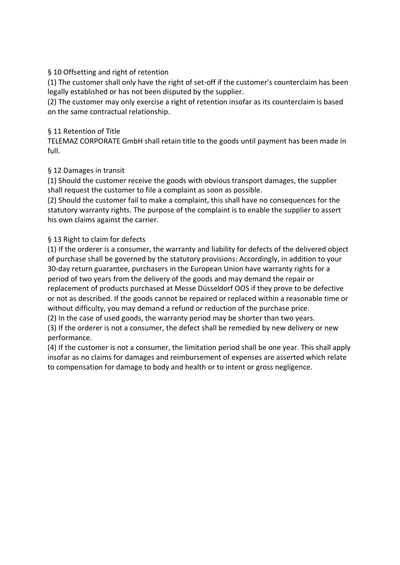# § 10 Offsetting and right of retention

(1) The customer shall only have the right of set-off if the customer's counterclaim has been legally established or has not been disputed by the supplier.

(2) The customer may only exercise a right of retention insofar as its counterclaim is based on the same contractual relationship.

## § 11 Retention of Title

TELEMAZ CORPORATE GmbH shall retain title to the goods until payment has been made in full.

## § 12 Damages in transit

(1) Should the customer receive the goods with obvious transport damages, the supplier shall request the customer to file a complaint as soon as possible.

(2) Should the customer fail to make a complaint, this shall have no consequences for the statutory warranty rights. The purpose of the complaint is to enable the supplier to assert his own claims against the carrier.

# § 13 Right to claim for defects

(1) If the orderer is a consumer, the warranty and liability for defects of the delivered object of purchase shall be governed by the statutory provisions: Accordingly, in addition to your 30-day return guarantee, purchasers in the European Union have warranty rights for a period of two years from the delivery of the goods and may demand the repair or replacement of products purchased at Messe Düsseldorf OOS if they prove to be defective or not as described. If the goods cannot be repaired or replaced within a reasonable time or without difficulty, you may demand a refund or reduction of the purchase price.

(2) In the case of used goods, the warranty period may be shorter than two years.

(3) If the orderer is not a consumer, the defect shall be remedied by new delivery or new performance.

(4) If the customer is not a consumer, the limitation period shall be one year. This shall apply insofar as no claims for damages and reimbursement of expenses are asserted which relate to compensation for damage to body and health or to intent or gross negligence.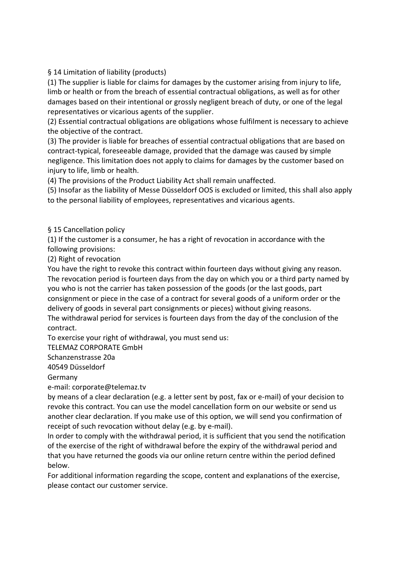§ 14 Limitation of liability (products)

(1) The supplier is liable for claims for damages by the customer arising from injury to life, limb or health or from the breach of essential contractual obligations, as well as for other damages based on their intentional or grossly negligent breach of duty, or one of the legal representatives or vicarious agents of the supplier.

(2) Essential contractual obligations are obligations whose fulfilment is necessary to achieve the objective of the contract.

(3) The provider is liable for breaches of essential contractual obligations that are based on contract-typical, foreseeable damage, provided that the damage was caused by simple negligence. This limitation does not apply to claims for damages by the customer based on injury to life, limb or health.

(4) The provisions of the Product Liability Act shall remain unaffected.

(5) Insofar as the liability of Messe Düsseldorf OOS is excluded or limited, this shall also apply to the personal liability of employees, representatives and vicarious agents.

## § 15 Cancellation policy

(1) If the customer is a consumer, he has a right of revocation in accordance with the following provisions:

(2) Right of revocation

You have the right to revoke this contract within fourteen days without giving any reason. The revocation period is fourteen days from the day on which you or a third party named by you who is not the carrier has taken possession of the goods (or the last goods, part consignment or piece in the case of a contract for several goods of a uniform order or the delivery of goods in several part consignments or pieces) without giving reasons. The withdrawal period for services is fourteen days from the day of the conclusion of the

contract.

To exercise your right of withdrawal, you must send us:

TELEMAZ CORPORATE GmbH

Schanzenstrasse 20a

40549 Düsseldorf

Germany

e-mail: corporate@telemaz.tv

by means of a clear declaration (e.g. a letter sent by post, fax or e-mail) of your decision to revoke this contract. You can use the model cancellation form on our website or send us another clear declaration. If you make use of this option, we will send you confirmation of receipt of such revocation without delay (e.g. by e-mail).

In order to comply with the withdrawal period, it is sufficient that you send the notification of the exercise of the right of withdrawal before the expiry of the withdrawal period and that you have returned the goods via our online return centre within the period defined below.

For additional information regarding the scope, content and explanations of the exercise, please contact our customer service.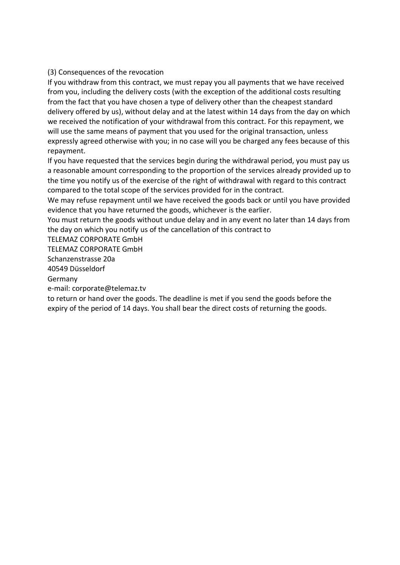#### (3) Consequences of the revocation

If you withdraw from this contract, we must repay you all payments that we have received from you, including the delivery costs (with the exception of the additional costs resulting from the fact that you have chosen a type of delivery other than the cheapest standard delivery offered by us), without delay and at the latest within 14 days from the day on which we received the notification of your withdrawal from this contract. For this repayment, we will use the same means of payment that you used for the original transaction, unless expressly agreed otherwise with you; in no case will you be charged any fees because of this repayment.

If you have requested that the services begin during the withdrawal period, you must pay us a reasonable amount corresponding to the proportion of the services already provided up to the time you notify us of the exercise of the right of withdrawal with regard to this contract compared to the total scope of the services provided for in the contract.

We may refuse repayment until we have received the goods back or until you have provided evidence that you have returned the goods, whichever is the earlier.

You must return the goods without undue delay and in any event no later than 14 days from the day on which you notify us of the cancellation of this contract to

TELEMAZ CORPORATE GmbH

TELEMAZ CORPORATE GmbH

Schanzenstrasse 20a

40549 Düsseldorf

Germany

e-mail: corporate@telemaz.tv

to return or hand over the goods. The deadline is met if you send the goods before the expiry of the period of 14 days. You shall bear the direct costs of returning the goods.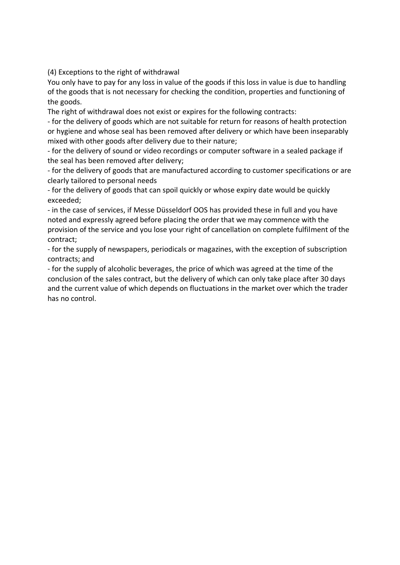(4) Exceptions to the right of withdrawal

You only have to pay for any loss in value of the goods if this loss in value is due to handling of the goods that is not necessary for checking the condition, properties and functioning of the goods.

The right of withdrawal does not exist or expires for the following contracts:

- for the delivery of goods which are not suitable for return for reasons of health protection or hygiene and whose seal has been removed after delivery or which have been inseparably mixed with other goods after delivery due to their nature;

- for the delivery of sound or video recordings or computer software in a sealed package if the seal has been removed after delivery;

- for the delivery of goods that are manufactured according to customer specifications or are clearly tailored to personal needs

- for the delivery of goods that can spoil quickly or whose expiry date would be quickly exceeded;

- in the case of services, if Messe Düsseldorf OOS has provided these in full and you have noted and expressly agreed before placing the order that we may commence with the provision of the service and you lose your right of cancellation on complete fulfilment of the contract;

- for the supply of newspapers, periodicals or magazines, with the exception of subscription contracts; and

- for the supply of alcoholic beverages, the price of which was agreed at the time of the conclusion of the sales contract, but the delivery of which can only take place after 30 days and the current value of which depends on fluctuations in the market over which the trader has no control.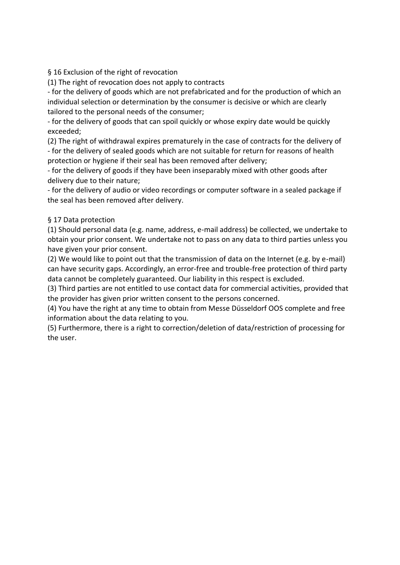§ 16 Exclusion of the right of revocation

(1) The right of revocation does not apply to contracts

- for the delivery of goods which are not prefabricated and for the production of which an individual selection or determination by the consumer is decisive or which are clearly tailored to the personal needs of the consumer;

- for the delivery of goods that can spoil quickly or whose expiry date would be quickly exceeded;

(2) The right of withdrawal expires prematurely in the case of contracts for the delivery of - for the delivery of sealed goods which are not suitable for return for reasons of health protection or hygiene if their seal has been removed after delivery;

- for the delivery of goods if they have been inseparably mixed with other goods after delivery due to their nature;

- for the delivery of audio or video recordings or computer software in a sealed package if the seal has been removed after delivery.

# § 17 Data protection

(1) Should personal data (e.g. name, address, e-mail address) be collected, we undertake to obtain your prior consent. We undertake not to pass on any data to third parties unless you have given your prior consent.

(2) We would like to point out that the transmission of data on the Internet (e.g. by e-mail) can have security gaps. Accordingly, an error-free and trouble-free protection of third party data cannot be completely guaranteed. Our liability in this respect is excluded.

(3) Third parties are not entitled to use contact data for commercial activities, provided that the provider has given prior written consent to the persons concerned.

(4) You have the right at any time to obtain from Messe Düsseldorf OOS complete and free information about the data relating to you.

(5) Furthermore, there is a right to correction/deletion of data/restriction of processing for the user.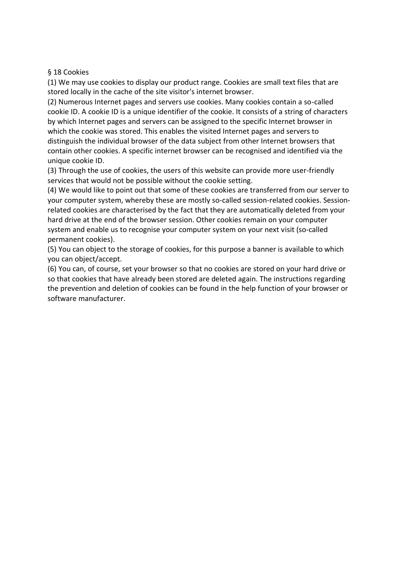#### § 18 Cookies

(1) We may use cookies to display our product range. Cookies are small text files that are stored locally in the cache of the site visitor's internet browser.

(2) Numerous Internet pages and servers use cookies. Many cookies contain a so-called cookie ID. A cookie ID is a unique identifier of the cookie. It consists of a string of characters by which Internet pages and servers can be assigned to the specific Internet browser in which the cookie was stored. This enables the visited Internet pages and servers to distinguish the individual browser of the data subject from other Internet browsers that contain other cookies. A specific internet browser can be recognised and identified via the unique cookie ID.

(3) Through the use of cookies, the users of this website can provide more user-friendly services that would not be possible without the cookie setting.

(4) We would like to point out that some of these cookies are transferred from our server to your computer system, whereby these are mostly so-called session-related cookies. Sessionrelated cookies are characterised by the fact that they are automatically deleted from your hard drive at the end of the browser session. Other cookies remain on your computer system and enable us to recognise your computer system on your next visit (so-called permanent cookies).

(5) You can object to the storage of cookies, for this purpose a banner is available to which you can object/accept.

(6) You can, of course, set your browser so that no cookies are stored on your hard drive or so that cookies that have already been stored are deleted again. The instructions regarding the prevention and deletion of cookies can be found in the help function of your browser or software manufacturer.